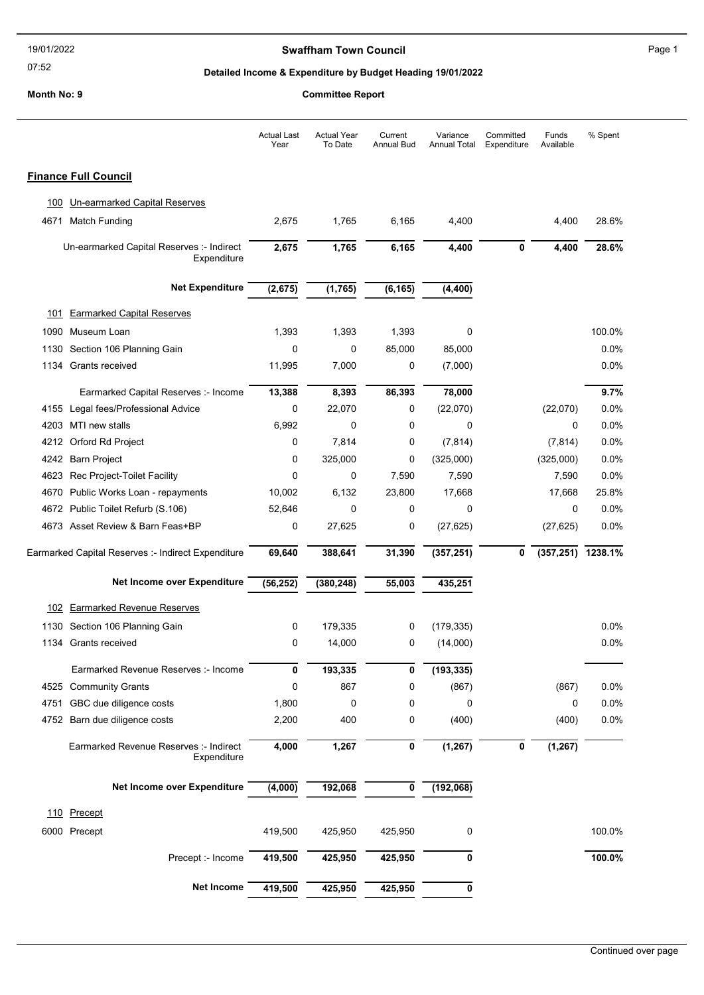### 07:52

## Swaffham Town Council **Example 2018** Page 1

## Detailed Income & Expenditure by Budget Heading 19/01/2022

|      |                                                          | <b>Actual Last</b><br>Year | <b>Actual Year</b><br>To Date | Current<br><b>Annual Bud</b> | Variance<br><b>Annual Total</b> | Committed<br>Expenditure | Funds<br>Available   | % Spent |
|------|----------------------------------------------------------|----------------------------|-------------------------------|------------------------------|---------------------------------|--------------------------|----------------------|---------|
|      | <b>Finance Full Council</b>                              |                            |                               |                              |                                 |                          |                      |         |
| 100  | Un-earmarked Capital Reserves                            |                            |                               |                              |                                 |                          |                      |         |
| 4671 | <b>Match Funding</b>                                     | 2,675                      | 1,765                         | 6,165                        | 4,400                           |                          | 4,400                | 28.6%   |
|      | Un-earmarked Capital Reserves :- Indirect<br>Expenditure | 2,675                      | 1,765                         | 6,165                        | 4,400                           | $\mathbf 0$              | 4,400                | 28.6%   |
|      | <b>Net Expenditure</b>                                   | (2,675)                    | (1, 765)                      | (6, 165)                     | (4, 400)                        |                          |                      |         |
| 101  | <b>Earmarked Capital Reserves</b>                        |                            |                               |                              |                                 |                          |                      |         |
|      | 1090 Museum Loan                                         | 1,393                      | 1,393                         | 1,393                        | 0                               |                          |                      | 100.0%  |
| 1130 | Section 106 Planning Gain                                | 0                          | 0                             | 85,000                       | 85,000                          |                          |                      | 0.0%    |
| 1134 | Grants received                                          | 11,995                     | 7,000                         | 0                            | (7,000)                         |                          |                      | $0.0\%$ |
|      | Earmarked Capital Reserves :- Income                     | 13,388                     | 8,393                         | 86,393                       | 78,000                          |                          |                      | 9.7%    |
|      | 4155 Legal fees/Professional Advice                      | 0                          | 22,070                        | 0                            | (22,070)                        |                          | (22,070)             | 0.0%    |
|      | 4203 MTI new stalls                                      | 6,992                      | 0                             | 0                            | 0                               |                          | 0                    | $0.0\%$ |
| 4212 | Orford Rd Project                                        | 0                          | 7,814                         | 0                            | (7, 814)                        |                          | (7, 814)             | 0.0%    |
|      | 4242 Barn Project                                        | 0                          | 325,000                       | 0                            | (325,000)                       |                          | (325,000)            | 0.0%    |
|      | 4623 Rec Project-Toilet Facility                         | 0                          | $\mathbf 0$                   | 7,590                        | 7,590                           |                          | 7,590                | 0.0%    |
| 4670 | Public Works Loan - repayments                           | 10,002                     | 6,132                         | 23,800                       | 17,668                          |                          | 17,668               | 25.8%   |
|      | 4672 Public Toilet Refurb (S.106)                        | 52,646                     | 0                             | 0                            | 0                               |                          | 0                    | $0.0\%$ |
|      | 4673 Asset Review & Barn Feas+BP                         | 0                          | 27,625                        | 0                            | (27, 625)                       |                          | (27, 625)            | 0.0%    |
|      | Earmarked Capital Reserves :- Indirect Expenditure       | 69,640                     | 388,641                       | 31,390                       | (357, 251)                      | 0                        | $(357, 251)$ 1238.1% |         |
|      | Net Income over Expenditure                              | (56, 252)                  | (380, 248)                    | 55,003                       | 435,251                         |                          |                      |         |
| 102  | <b>Earmarked Revenue Reserves</b>                        |                            |                               |                              |                                 |                          |                      |         |
| 1130 | Section 106 Planning Gain                                | 0                          | 179,335                       | 0                            | (179, 335)                      |                          |                      | $0.0\%$ |
|      | 1134 Grants received                                     | 0                          | 14,000                        | 0                            | (14,000)                        |                          |                      | 0.0%    |
|      | Earmarked Revenue Reserves :- Income                     | 0                          | 193,335                       | 0                            | (193, 335)                      |                          |                      |         |
| 4525 | <b>Community Grants</b>                                  | 0                          | 867                           | 0                            | (867)                           |                          | (867)                | 0.0%    |
| 4751 | GBC due diligence costs                                  | 1,800                      | 0                             | 0                            | 0                               |                          | 0                    | 0.0%    |
|      | 4752 Barn due diligence costs                            | 2,200                      | 400                           | 0                            | (400)                           |                          | (400)                | 0.0%    |
|      | Earmarked Revenue Reserves :- Indirect<br>Expenditure    | 4,000                      | 1,267                         | 0                            | (1, 267)                        | 0                        | (1, 267)             |         |
|      | Net Income over Expenditure                              | (4,000)                    | 192,068                       | 0                            | (192,068)                       |                          |                      |         |
|      | 110 Precept                                              |                            |                               |                              |                                 |                          |                      |         |
|      | 6000 Precept                                             | 419,500                    | 425,950                       | 425,950                      | 0                               |                          |                      | 100.0%  |
|      | Precept :- Income                                        | 419,500                    | 425,950                       | 425,950                      | 0                               |                          |                      | 100.0%  |
|      | Net Income                                               | 419,500                    | 425,950                       | 425,950                      | 0                               |                          |                      |         |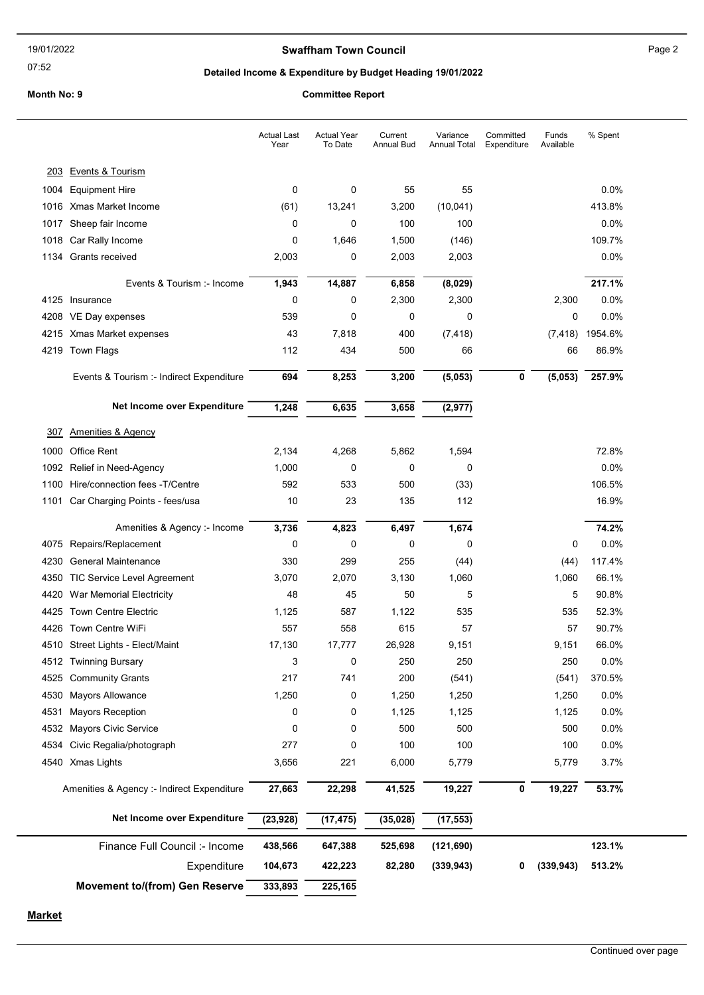## Swaffham Town Council **Example 2** Page 2

07:52

### Detailed Income & Expenditure by Budget Heading 19/01/2022

#### Month No: 9 Committee Report

|                                            | <b>Actual Last</b><br>Year | <b>Actual Year</b><br>To Date | Current<br>Annual Bud | Variance<br><b>Annual Total</b> | Committed<br>Expenditure | Funds<br>Available | % Spent |
|--------------------------------------------|----------------------------|-------------------------------|-----------------------|---------------------------------|--------------------------|--------------------|---------|
| 203 Events & Tourism                       |                            |                               |                       |                                 |                          |                    |         |
| 1004<br><b>Equipment Hire</b>              | 0                          | 0                             | 55                    | 55                              |                          |                    | 0.0%    |
| 1016 Xmas Market Income                    | (61)                       | 13,241                        | 3,200                 | (10, 041)                       |                          |                    | 413.8%  |
| Sheep fair Income<br>1017                  | 0                          | 0                             | 100                   | 100                             |                          |                    | 0.0%    |
| Car Rally Income<br>1018                   | 0                          | 1,646                         | 1,500                 | (146)                           |                          |                    | 109.7%  |
| Grants received<br>1134                    | 2,003                      | 0                             | 2,003                 | 2,003                           |                          |                    | 0.0%    |
| Events & Tourism :- Income                 | 1,943                      | 14,887                        | 6,858                 | (8,029)                         |                          |                    | 217.1%  |
| 4125<br>Insurance                          | 0                          | 0                             | 2,300                 | 2,300                           |                          | 2,300              | 0.0%    |
| 4208<br>VE Day expenses                    | 539                        | 0                             | 0                     | 0                               |                          | 0                  | 0.0%    |
| 4215<br>Xmas Market expenses               | 43                         | 7,818                         | 400                   | (7, 418)                        |                          | (7, 418)           | 1954.6% |
| 4219<br>Town Flags                         | 112                        | 434                           | 500                   | 66                              |                          | 66                 | 86.9%   |
|                                            |                            |                               |                       |                                 |                          |                    |         |
| Events & Tourism :- Indirect Expenditure   | 694                        | 8,253                         | 3,200                 | (5,053)                         | 0                        | (5,053)            | 257.9%  |
| Net Income over Expenditure                | 1,248                      | 6,635                         | 3,658                 | (2, 977)                        |                          |                    |         |
| <b>Amenities &amp; Agency</b><br>307       |                            |                               |                       |                                 |                          |                    |         |
| <b>Office Rent</b><br>1000                 | 2,134                      | 4,268                         | 5,862                 | 1,594                           |                          |                    | 72.8%   |
| 1092<br>Relief in Need-Agency              | 1,000                      | 0                             | 0                     | 0                               |                          |                    | 0.0%    |
| Hire/connection fees -T/Centre<br>1100     | 592                        | 533                           | 500                   | (33)                            |                          |                    | 106.5%  |
| 1101<br>Car Charging Points - fees/usa     | 10                         | 23                            | 135                   | 112                             |                          |                    | 16.9%   |
| Amenities & Agency :- Income               | 3,736                      | 4,823                         | 6,497                 | 1,674                           |                          |                    | 74.2%   |
| Repairs/Replacement<br>4075                | 0                          | 0                             | 0                     | 0                               |                          | 0                  | 0.0%    |
| <b>General Maintenance</b><br>4230         | 330                        | 299                           | 255                   | (44)                            |                          | (44)               | 117.4%  |
| <b>TIC Service Level Agreement</b><br>4350 | 3,070                      | 2,070                         | 3,130                 | 1,060                           |                          | 1,060              | 66.1%   |
| 4420<br>War Memorial Electricity           | 48                         | 45                            | 50                    | 5                               |                          | 5                  | 90.8%   |
| <b>Town Centre Electric</b><br>4425        | 1,125                      | 587                           | 1,122                 | 535                             |                          | 535                | 52.3%   |
| <b>Town Centre WiFi</b><br>4426            | 557                        | 558                           | 615                   | 57                              |                          | 57                 | 90.7%   |
| 4510 Street Lights - Elect/Maint           | 17,130                     | 17,777                        | 26,928                | 9,151                           |                          | 9,151              | 66.0%   |
| 4512 Twinning Bursary                      | 3                          | 0                             | 250                   | 250                             |                          | 250                | 0.0%    |
| <b>Community Grants</b><br>4525            | 217                        | 741                           | 200                   | (541)                           |                          | (541)              | 370.5%  |
| <b>Mayors Allowance</b><br>4530            | 1,250                      | 0                             | 1,250                 | 1,250                           |                          | 1,250              | 0.0%    |
| 4531<br><b>Mayors Reception</b>            | 0                          | 0                             | 1,125                 | 1,125                           |                          | 1,125              | 0.0%    |
| Mayors Civic Service<br>4532               | 0                          | 0                             | 500                   | 500                             |                          | 500                | 0.0%    |
| Civic Regalia/photograph<br>4534           | 277                        | 0                             | 100                   | 100                             |                          | 100                | 0.0%    |
| 4540 Xmas Lights                           | 3,656                      | 221                           | 6,000                 | 5,779                           |                          | 5,779              | 3.7%    |
| Amenities & Agency :- Indirect Expenditure | 27,663                     | 22,298                        | 41,525                | 19,227                          | 0                        | 19,227             | 53.7%   |
| Net Income over Expenditure                | (23, 928)                  | (17, 475)                     | (35, 028)             | (17, 553)                       |                          |                    |         |
| Finance Full Council :- Income             | 438,566                    | 647,388                       | 525,698               | (121, 690)                      |                          |                    | 123.1%  |
| Expenditure                                | 104,673                    | 422,223                       | 82,280                | (339, 943)                      | 0                        | (339, 943)         | 513.2%  |
| <b>Movement to/(from) Gen Reserve</b>      | 333,893                    | 225,165                       |                       |                                 |                          |                    |         |

**Market**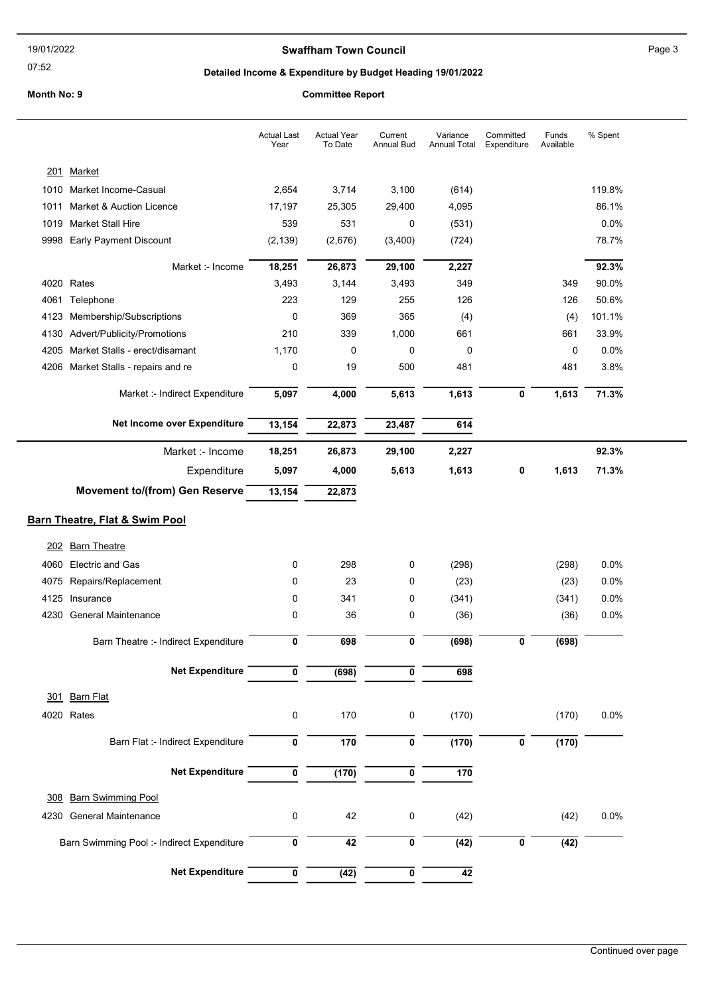## Swaffham Town Council **Example 2** Page 3

07:52

# Detailed Income & Expenditure by Budget Heading 19/01/2022

|      |                                            | <b>Actual Last</b><br>Year | <b>Actual Year</b><br>To Date | Current<br><b>Annual Bud</b> | Variance<br><b>Annual Total</b> | Committed<br>Expenditure | Funds<br>Available | % Spent |
|------|--------------------------------------------|----------------------------|-------------------------------|------------------------------|---------------------------------|--------------------------|--------------------|---------|
|      | 201 Market                                 |                            |                               |                              |                                 |                          |                    |         |
|      | 1010 Market Income-Casual                  | 2,654                      | 3,714                         | 3,100                        | (614)                           |                          |                    | 119.8%  |
| 1011 | Market & Auction Licence                   | 17,197                     | 25,305                        | 29,400                       | 4,095                           |                          |                    | 86.1%   |
| 1019 | <b>Market Stall Hire</b>                   | 539                        | 531                           | 0                            | (531)                           |                          |                    | 0.0%    |
| 9998 | <b>Early Payment Discount</b>              | (2, 139)                   | (2,676)                       | (3,400)                      | (724)                           |                          |                    | 78.7%   |
|      | Market :- Income                           | 18,251                     | 26,873                        | 29,100                       | 2,227                           |                          |                    | 92.3%   |
|      | 4020 Rates                                 | 3,493                      | 3,144                         | 3,493                        | 349                             |                          | 349                | 90.0%   |
| 4061 | Telephone                                  | 223                        | 129                           | 255                          | 126                             |                          | 126                | 50.6%   |
| 4123 | Membership/Subscriptions                   | 0                          | 369                           | 365                          | (4)                             |                          | (4)                | 101.1%  |
| 4130 | Advert/Publicity/Promotions                | 210                        | 339                           | 1,000                        | 661                             |                          | 661                | 33.9%   |
| 4205 | Market Stalls - erect/disamant             | 1,170                      | 0                             | 0                            | 0                               |                          | 0                  | 0.0%    |
| 4206 | Market Stalls - repairs and re             | 0                          | 19                            | 500                          | 481                             |                          | 481                | 3.8%    |
|      | Market :- Indirect Expenditure             | 5,097                      | 4,000                         | 5,613                        | 1,613                           | $\bf{0}$                 | 1,613              | 71.3%   |
|      | Net Income over Expenditure                | 13,154                     | 22,873                        | 23,487                       | 614                             |                          |                    |         |
|      | Market :- Income                           | 18,251                     | 26,873                        | 29,100                       | 2,227                           |                          |                    | 92.3%   |
|      |                                            |                            |                               |                              |                                 |                          |                    |         |
|      | Expenditure                                | 5,097                      | 4,000                         | 5,613                        | 1,613                           | 0                        | 1,613              | 71.3%   |
|      | <b>Movement to/(from) Gen Reserve</b>      | 13,154                     | 22,873                        |                              |                                 |                          |                    |         |
|      | Barn Theatre, Flat & Swim Pool             |                            |                               |                              |                                 |                          |                    |         |
|      |                                            |                            |                               |                              |                                 |                          |                    |         |
| 202  | <b>Barn Theatre</b>                        |                            |                               |                              |                                 |                          |                    |         |
| 4060 | <b>Electric and Gas</b>                    | 0                          | 298                           | 0                            | (298)                           |                          | (298)              | 0.0%    |
| 4075 | Repairs/Replacement                        | 0                          | 23                            | 0                            | (23)                            |                          | (23)               | 0.0%    |
|      | 4125 Insurance                             | 0                          | 341                           | 0                            | (341)                           |                          | (341)              | 0.0%    |
|      | 4230 General Maintenance                   | 0                          | 36                            | 0                            | (36)                            |                          | (36)               | 0.0%    |
|      | Barn Theatre :- Indirect Expenditure       | 0                          | 698                           | 0                            | (698)                           | 0                        | (698)              |         |
|      | <b>Net Expenditure</b>                     | 0                          | (698)                         | 0                            | 698                             |                          |                    |         |
| 301  | <b>Barn Flat</b>                           |                            |                               |                              |                                 |                          |                    |         |
|      | 4020 Rates                                 | 0                          | 170                           | 0                            | (170)                           |                          | (170)              | 0.0%    |
|      |                                            |                            |                               |                              |                                 |                          |                    |         |
|      | Barn Flat :- Indirect Expenditure          | 0                          | 170                           | 0                            | (170)                           | $\pmb{0}$                | (170)              |         |
|      | <b>Net Expenditure</b>                     | 0                          | (170)                         | 0                            | 170                             |                          |                    |         |
| 308  | <b>Barn Swimming Pool</b>                  |                            |                               |                              |                                 |                          |                    |         |
| 4230 | <b>General Maintenance</b>                 | 0                          | 42                            | 0                            | (42)                            |                          | (42)               | 0.0%    |
|      | Barn Swimming Pool :- Indirect Expenditure | 0                          | 42                            | 0                            | (42)                            | 0                        | (42)               |         |
|      | <b>Net Expenditure</b>                     | 0                          |                               | 0                            | $\overline{42}$                 |                          |                    |         |
|      |                                            |                            | $\overline{(42)}$             |                              |                                 |                          |                    |         |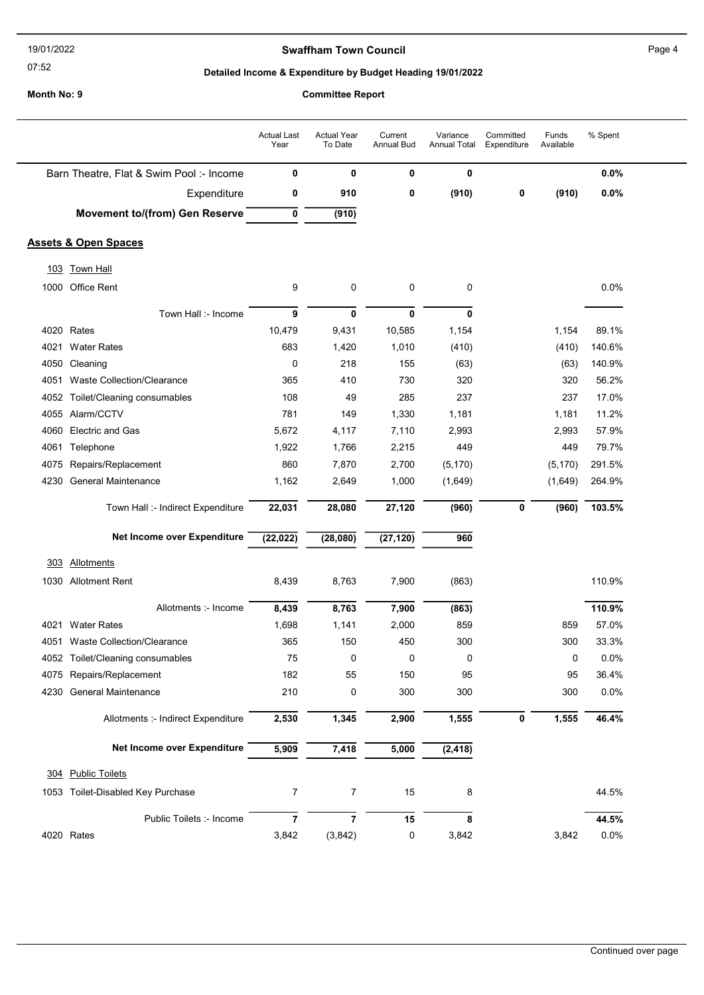#### 07:52

304 Public Toilets

| 19/01/2022                             |                                          |                            | <b>Swaffham Town Council</b>                               |                              |                                 |                          |                    |         | Page 4 |  |  |
|----------------------------------------|------------------------------------------|----------------------------|------------------------------------------------------------|------------------------------|---------------------------------|--------------------------|--------------------|---------|--------|--|--|
| 07:52                                  |                                          |                            | Detailed Income & Expenditure by Budget Heading 19/01/2022 |                              |                                 |                          |                    |         |        |  |  |
| Month No: 9<br><b>Committee Report</b> |                                          |                            |                                                            |                              |                                 |                          |                    |         |        |  |  |
|                                        |                                          | <b>Actual Last</b><br>Year | <b>Actual Year</b><br>To Date                              | Current<br><b>Annual Bud</b> | Variance<br><b>Annual Total</b> | Committed<br>Expenditure | Funds<br>Available | % Spent |        |  |  |
|                                        | Barn Theatre, Flat & Swim Pool :- Income | 0                          | 0                                                          | 0                            | 0                               |                          |                    | 0.0%    |        |  |  |
|                                        | Expenditure                              | 0                          | 910                                                        | 0                            | (910)                           | 0                        | (910)              | 0.0%    |        |  |  |
|                                        | <b>Movement to/(from) Gen Reserve</b>    | $\mathbf 0$                | (910)                                                      |                              |                                 |                          |                    |         |        |  |  |
|                                        | <b>Assets &amp; Open Spaces</b>          |                            |                                                            |                              |                                 |                          |                    |         |        |  |  |
| 103                                    | <b>Town Hall</b>                         |                            |                                                            |                              |                                 |                          |                    |         |        |  |  |
| 1000                                   | <b>Office Rent</b>                       | 9                          | 0                                                          | 0                            | 0                               |                          |                    | 0.0%    |        |  |  |
|                                        | Town Hall :- Income                      | 9                          | 0                                                          | 0                            | 0                               |                          |                    |         |        |  |  |
| 4020                                   | Rates                                    | 10,479                     | 9,431                                                      | 10,585                       | 1,154                           |                          | 1,154              | 89.1%   |        |  |  |
| 4021                                   | <b>Water Rates</b>                       | 683                        | 1,420                                                      | 1,010                        | (410)                           |                          | (410)              | 140.6%  |        |  |  |
| 4050                                   | Cleaning                                 | 0                          | 218                                                        | 155                          | (63)                            |                          | (63)               | 140.9%  |        |  |  |
| 4051                                   | Waste Collection/Clearance               | 365                        | 410                                                        | 730                          | 320                             |                          | 320                | 56.2%   |        |  |  |
| 4052                                   | Toilet/Cleaning consumables              | 108                        | 49                                                         | 285                          | 237                             |                          | 237                | 17.0%   |        |  |  |
| 4055                                   | Alarm/CCTV                               | 781                        | 149                                                        | 1,330                        | 1,181                           |                          | 1,181              | 11.2%   |        |  |  |
| 4060                                   | <b>Electric and Gas</b>                  | 5,672                      | 4,117                                                      | 7,110                        | 2,993                           |                          | 2,993              | 57.9%   |        |  |  |
| 4061                                   | Telephone                                | 1,922                      | 1,766                                                      | 2,215                        | 449                             |                          | 449                | 79.7%   |        |  |  |
| 4075                                   | Repairs/Replacement                      | 860                        | 7,870                                                      | 2,700                        | (5, 170)                        |                          | (5, 170)           | 291.5%  |        |  |  |
| 4230                                   | <b>General Maintenance</b>               | 1,162                      | 2,649                                                      | 1,000                        | (1,649)                         |                          | (1,649)            | 264.9%  |        |  |  |
|                                        | Town Hall :- Indirect Expenditure        | 22,031                     | 28,080                                                     | 27,120                       | (960)                           | 0                        | (960)              | 103.5%  |        |  |  |
|                                        | Net Income over Expenditure              | (22, 022)                  | (28,080)                                                   | (27, 120)                    | 960                             |                          |                    |         |        |  |  |
| 303                                    | <b>Allotments</b>                        |                            |                                                            |                              |                                 |                          |                    |         |        |  |  |
| 1030                                   | <b>Allotment Rent</b>                    | 8,439                      | 8,763                                                      | 7,900                        | (863)                           |                          |                    | 110.9%  |        |  |  |
|                                        | Allotments :- Income                     | 8,439                      | 8,763                                                      | 7,900                        | (863)                           |                          |                    | 110.9%  |        |  |  |
| 4021                                   | <b>Water Rates</b>                       | 1,698                      | 1,141                                                      | 2,000                        | 859                             |                          | 859                | 57.0%   |        |  |  |
| 4051                                   | Waste Collection/Clearance               | 365                        | 150                                                        | 450                          | 300                             |                          | 300                | 33.3%   |        |  |  |
| 4052                                   | Toilet/Cleaning consumables              | 75                         | 0                                                          | 0                            | 0                               |                          | 0                  | 0.0%    |        |  |  |
| 4075                                   | Repairs/Replacement                      | 182                        | 55                                                         | 150                          | 95                              |                          | 95                 | 36.4%   |        |  |  |
| 4230                                   | General Maintenance                      | 210                        | 0                                                          | 300                          | 300                             |                          | 300                | 0.0%    |        |  |  |

Allotments :- Indirect Expenditure 2,530 1,345 2,900 1,555 0 1,555 46.4%

Public Toilets :- Income 7 7 7 15 8 44.5%

1053 Toilet-Disabled Key Purchase 10 17 15 8 15% 8 44.5%

4020 Rates 3,842 (3,842) 0 3,842 3,842 0.0%

Net Income over Expenditure  $\overline{5,909}$   $\overline{7,418}$   $\overline{5,000}$   $\overline{2,418}$  (2,418)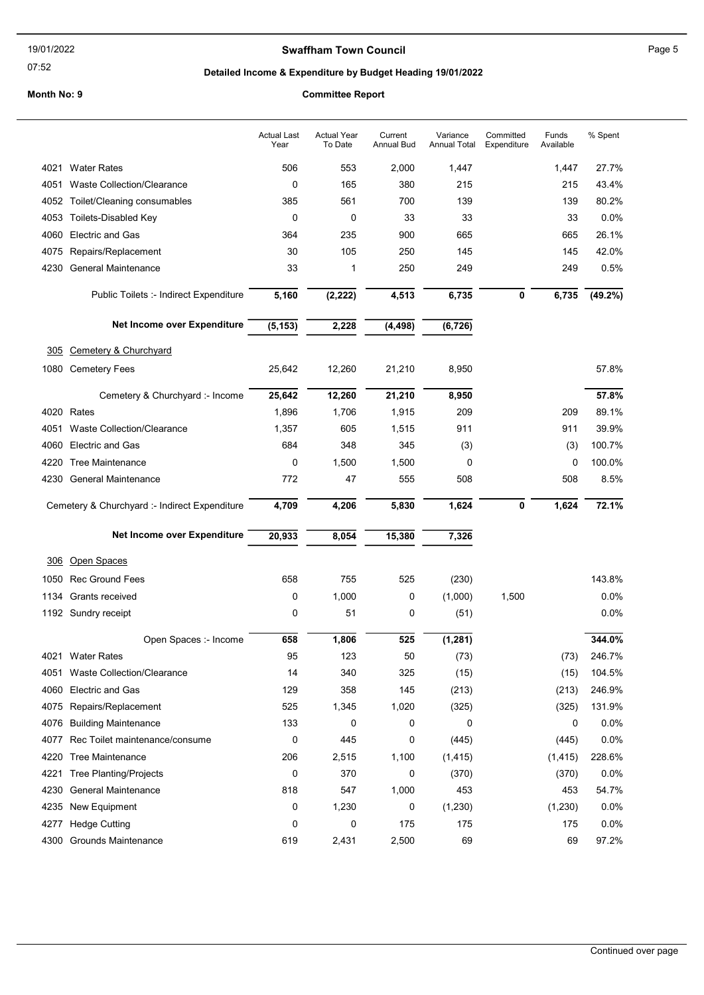## Swaffham Town Council **Example 2018** Page 5

07:52

## Detailed Income & Expenditure by Budget Heading 19/01/2022

|              |                                                               | <b>Actual Last</b><br>Year | <b>Actual Year</b><br>To Date | Current<br>Annual Bud | Variance<br><b>Annual Total</b> | Committed<br>Expenditure | Funds<br>Available | % Spent       |
|--------------|---------------------------------------------------------------|----------------------------|-------------------------------|-----------------------|---------------------------------|--------------------------|--------------------|---------------|
| 4021         | <b>Water Rates</b>                                            | 506                        | 553                           | 2,000                 | 1,447                           |                          | 1,447              | 27.7%         |
| 4051         | <b>Waste Collection/Clearance</b>                             | $\mathbf 0$                | 165                           | 380                   | 215                             |                          | 215                | 43.4%         |
| 4052         | Toilet/Cleaning consumables                                   | 385                        | 561                           | 700                   | 139                             |                          | 139                | 80.2%         |
| 4053         | <b>Toilets-Disabled Key</b>                                   | 0                          | 0                             | 33                    | 33                              |                          | 33                 | 0.0%          |
| 4060         | <b>Electric and Gas</b>                                       | 364                        | 235                           | 900                   | 665                             |                          | 665                | 26.1%         |
| 4075         | Repairs/Replacement                                           | 30                         | 105                           | 250                   | 145                             |                          | 145                | 42.0%         |
| 4230         | General Maintenance                                           | 33                         | 1                             | 250                   | 249                             |                          | 249                | 0.5%          |
|              | Public Toilets :- Indirect Expenditure                        | 5,160                      | (2, 222)                      | 4,513                 | 6,735                           | 0                        | 6,735              | $(49.2\%)$    |
|              | Net Income over Expenditure                                   | (5, 153)                   | 2,228                         | (4, 498)              | (6, 726)                        |                          |                    |               |
| 305          | Cemetery & Churchyard                                         |                            |                               |                       |                                 |                          |                    |               |
| 1080         | <b>Cemetery Fees</b>                                          | 25,642                     | 12,260                        | 21,210                | 8,950                           |                          |                    | 57.8%         |
|              | Cemetery & Churchyard :- Income                               | 25,642                     | 12,260                        | 21,210                | 8,950                           |                          |                    | 57.8%         |
| 4020         | Rates                                                         | 1,896                      | 1,706                         | 1,915                 | 209                             |                          | 209                | 89.1%         |
| 4051         | <b>Waste Collection/Clearance</b>                             | 1,357                      | 605                           | 1,515                 | 911                             |                          | 911                | 39.9%         |
| 4060         | <b>Electric and Gas</b>                                       | 684                        | 348                           | 345                   | (3)                             |                          | (3)                | 100.7%        |
| 4220         | <b>Tree Maintenance</b>                                       | 0                          | 1,500                         | 1,500                 | 0                               |                          | 0                  | 100.0%        |
| 4230         | <b>General Maintenance</b>                                    | 772                        | 47                            | 555                   | 508                             |                          | 508                | 8.5%          |
|              |                                                               |                            |                               |                       |                                 |                          |                    |               |
|              | Cemetery & Churchyard :- Indirect Expenditure                 | 4,709                      | 4,206                         | 5,830                 | 1,624                           | 0                        | 1,624              | 72.1%         |
|              | Net Income over Expenditure                                   | 20,933                     | 8,054                         | 15,380                | 7,326                           |                          |                    |               |
| 306          | Open Spaces                                                   |                            |                               |                       |                                 |                          |                    |               |
| 1050         | <b>Rec Ground Fees</b>                                        | 658                        | 755                           | 525                   | (230)                           |                          |                    | 143.8%        |
| 1134         | Grants received                                               | 0                          | 1,000                         | 0                     | (1,000)                         | 1,500                    |                    | 0.0%          |
|              | 1192 Sundry receipt                                           | 0                          | 51                            | 0                     | (51)                            |                          |                    | 0.0%          |
|              |                                                               |                            |                               |                       |                                 |                          |                    |               |
|              | Open Spaces :- Income                                         | 658                        | 1,806                         | 525                   | (1, 281)                        |                          |                    | 344.0%        |
| 4021         | <b>Water Rates</b>                                            | 95                         | 123                           | 50                    | (73)                            |                          | (73)               | 246.7%        |
| 4051         | Waste Collection/Clearance                                    | 14                         | 340                           | 325                   | (15)                            |                          | (15)               | 104.5%        |
| 4060         | <b>Electric and Gas</b>                                       | 129                        | 358                           | 145                   | (213)                           |                          | (213)              | 246.9%        |
| 4075<br>4076 | Repairs/Replacement                                           | 525                        | 1,345                         | 1,020                 | (325)<br>0                      |                          | (325)<br>0         | 131.9%        |
| 4077         | <b>Building Maintenance</b><br>Rec Toilet maintenance/consume | 133<br>0                   | 0<br>445                      | 0<br>0                | (445)                           |                          | (445)              | 0.0%<br>0.0%  |
| 4220         | <b>Tree Maintenance</b>                                       | 206                        | 2,515                         | 1,100                 | (1, 415)                        |                          |                    | 228.6%        |
| 4221         |                                                               | 0                          | 370                           | 0                     |                                 |                          | (1, 415)<br>(370)  |               |
| 4230         | <b>Tree Planting/Projects</b><br>General Maintenance          | 818                        | 547                           | 1,000                 | (370)<br>453                    |                          | 453                | 0.0%<br>54.7% |
| 4235         | New Equipment                                                 | 0                          | 1,230                         | 0                     |                                 |                          | (1,230)            | 0.0%          |
| 4277         | <b>Hedge Cutting</b>                                          | 0                          | 0                             | 175                   | (1, 230)<br>175                 |                          | 175                | 0.0%          |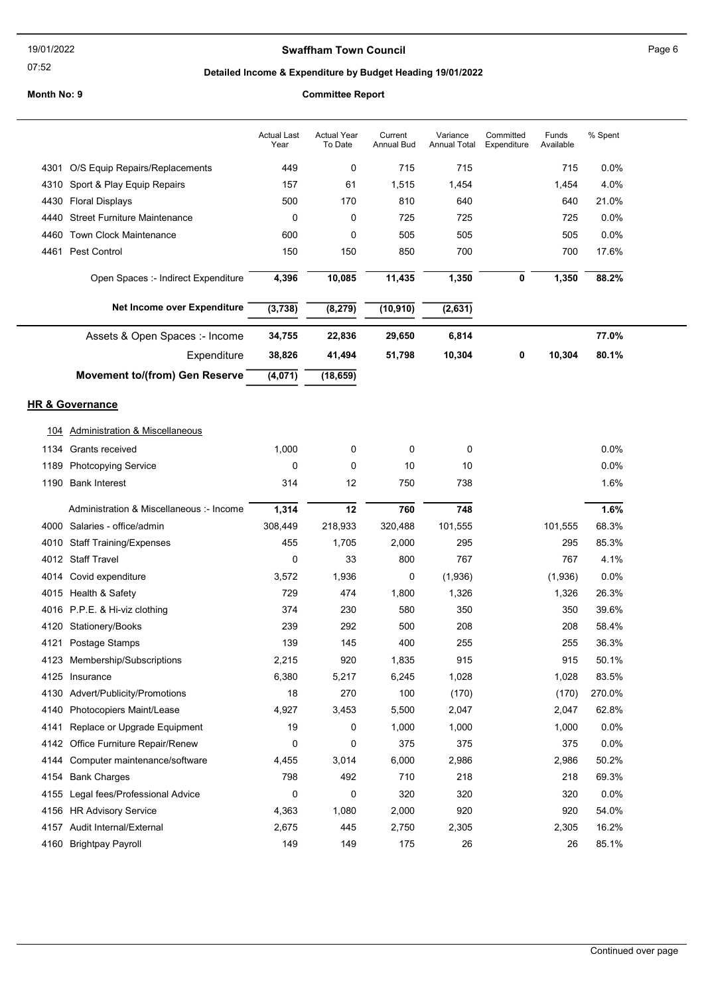## Swaffham Town Council **Example 2018** Page 6

07:52

# Detailed Income & Expenditure by Budget Heading 19/01/2022

|      |                                           | <b>Actual Last</b><br>Year | Actual Year<br>To Date | Current<br><b>Annual Bud</b> | Variance<br><b>Annual Total</b> | Committed<br>Expenditure | Funds<br>Available | % Spent |  |
|------|-------------------------------------------|----------------------------|------------------------|------------------------------|---------------------------------|--------------------------|--------------------|---------|--|
| 4301 | O/S Equip Repairs/Replacements            | 449                        | 0                      | 715                          | 715                             |                          | 715                | 0.0%    |  |
| 4310 | Sport & Play Equip Repairs                | 157                        | 61                     | 1,515                        | 1,454                           |                          | 1,454              | 4.0%    |  |
| 4430 | <b>Floral Displays</b>                    | 500                        | 170                    | 810                          | 640                             |                          | 640                | 21.0%   |  |
| 4440 | <b>Street Furniture Maintenance</b>       | 0                          | 0                      | 725                          | 725                             |                          | 725                | 0.0%    |  |
| 4460 | <b>Town Clock Maintenance</b>             | 600                        | 0                      | 505                          | 505                             |                          | 505                | 0.0%    |  |
| 4461 | Pest Control                              | 150                        | 150                    | 850                          | 700                             |                          | 700                | 17.6%   |  |
|      | Open Spaces :- Indirect Expenditure       | 4,396                      | 10,085                 | 11,435                       | 1,350                           | 0                        | 1,350              | 88.2%   |  |
|      | Net Income over Expenditure               | (3,738)                    | (8, 279)               | (10, 910)                    | (2,631)                         |                          |                    |         |  |
|      | Assets & Open Spaces :- Income            | 34,755                     | 22,836                 | 29,650                       | 6,814                           |                          |                    | 77.0%   |  |
|      | Expenditure                               | 38,826                     | 41,494                 | 51,798                       | 10,304                          | 0                        | 10,304             | 80.1%   |  |
|      | <b>Movement to/(from) Gen Reserve</b>     | (4,071)                    | (18, 659)              |                              |                                 |                          |                    |         |  |
|      | <b>HR &amp; Governance</b>                |                            |                        |                              |                                 |                          |                    |         |  |
|      |                                           |                            |                        |                              |                                 |                          |                    |         |  |
| 104  | <b>Administration &amp; Miscellaneous</b> |                            |                        |                              |                                 |                          |                    |         |  |
| 1134 | Grants received                           | 1,000                      | 0                      | $\mathbf 0$                  | 0                               |                          |                    | 0.0%    |  |
| 1189 | <b>Photcopying Service</b>                | 0                          | 0                      | 10                           | 10                              |                          |                    | 0.0%    |  |
| 1190 | <b>Bank Interest</b>                      | 314                        | 12                     | 750                          | 738                             |                          |                    | 1.6%    |  |
|      |                                           |                            |                        |                              |                                 |                          |                    |         |  |
|      | Administration & Miscellaneous :- Income  | 1,314                      | 12                     | 760                          | 748                             |                          |                    | 1.6%    |  |
| 4000 | Salaries - office/admin                   | 308,449                    | 218,933                | 320,488                      | 101,555                         |                          | 101,555            | 68.3%   |  |
| 4010 | <b>Staff Training/Expenses</b>            | 455                        | 1,705                  | 2,000                        | 295                             |                          | 295                | 85.3%   |  |
|      | 4012 Staff Travel                         | 0                          | 33                     | 800                          | 767                             |                          | 767                | 4.1%    |  |
| 4014 | Covid expenditure                         | 3,572                      | 1,936                  | 0                            | (1,936)                         |                          | (1,936)            | 0.0%    |  |
|      | 4015 Health & Safety                      | 729                        | 474                    | 1,800                        | 1,326                           |                          | 1,326              | 26.3%   |  |
|      | 4016 P.P.E. & Hi-viz clothing             | 374                        | 230                    | 580                          | 350                             |                          | 350                | 39.6%   |  |
| 4120 | Stationery/Books                          | 239                        | 292                    | 500                          | 208                             |                          | 208                | 58.4%   |  |
|      | 4121 Postage Stamps                       | 139                        | 145                    | 400                          | 255                             |                          | 255                | 36.3%   |  |
| 4123 | Membership/Subscriptions                  | 2,215                      | 920                    | 1,835                        | 915                             |                          | 915                | 50.1%   |  |
| 4125 | Insurance                                 | 6,380                      | 5,217                  | 6,245                        | 1,028                           |                          | 1,028              | 83.5%   |  |
| 4130 | Advert/Publicity/Promotions               | 18                         | 270                    | 100                          | (170)                           |                          | (170)              | 270.0%  |  |
| 4140 | Photocopiers Maint/Lease                  | 4,927                      | 3,453                  | 5,500                        | 2,047                           |                          | 2,047              | 62.8%   |  |
| 4141 | Replace or Upgrade Equipment              | 19                         | 0                      | 1,000                        | 1,000                           |                          | 1,000              | 0.0%    |  |
| 4142 | Office Furniture Repair/Renew             | 0                          | 0                      | 375                          | 375                             |                          | 375                | 0.0%    |  |
| 4144 | Computer maintenance/software             | 4,455                      | 3,014                  | 6,000                        | 2,986                           |                          | 2,986              | 50.2%   |  |
| 4154 | <b>Bank Charges</b>                       | 798                        | 492                    | 710                          | 218                             |                          | 218                | 69.3%   |  |
| 4155 | Legal fees/Professional Advice            | 0                          | 0                      | 320                          | 320                             |                          | 320                | 0.0%    |  |
| 4156 | <b>HR Advisory Service</b>                | 4,363                      | 1,080                  | 2,000                        | 920                             |                          | 920                | 54.0%   |  |
| 4157 | Audit Internal/External                   | 2,675                      | 445                    | 2,750                        | 2,305                           |                          | 2,305              | 16.2%   |  |